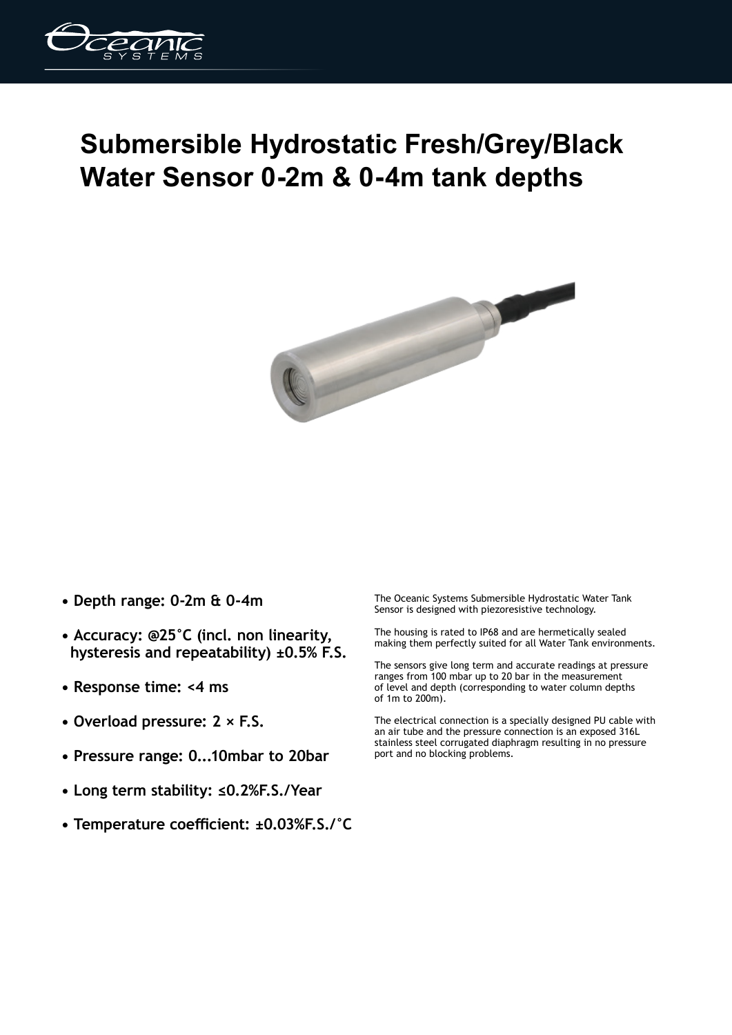

## **Submersible Hydrostatic Fresh/Grey/Black Water Sensor 0-2m & 0-4m tank depths**



- **Depth range: 0-2m & 0-4m**
- **Accuracy: @25°C (incl. non linearity, hysteresis and repeatability) ±0.5% F.S.**
- **Response time: <4 ms**
- **Overload pressure: 2 × F.S.**
- **Pressure range: 0...10mbar to 20bar**
- **Long term stability: ≤0.2%F.S./Year**
- **Temperature coefficient: ±0.03%F.S./°C**

The Oceanic Systems Submersible Hydrostatic Water Tank Sensor is designed with piezoresistive technology.

The housing is rated to IP68 and are hermetically sealed making them perfectly suited for all Water Tank environments.

The sensors give long term and accurate readings at pressure ranges from 100 mbar up to 20 bar in the measurement of level and depth (corresponding to water column depths of 1m to 200m).

The electrical connection is a specially designed PU cable with an air tube and the pressure connection is an exposed 316L stainless steel corrugated diaphragm resulting in no pressure port and no blocking problems.